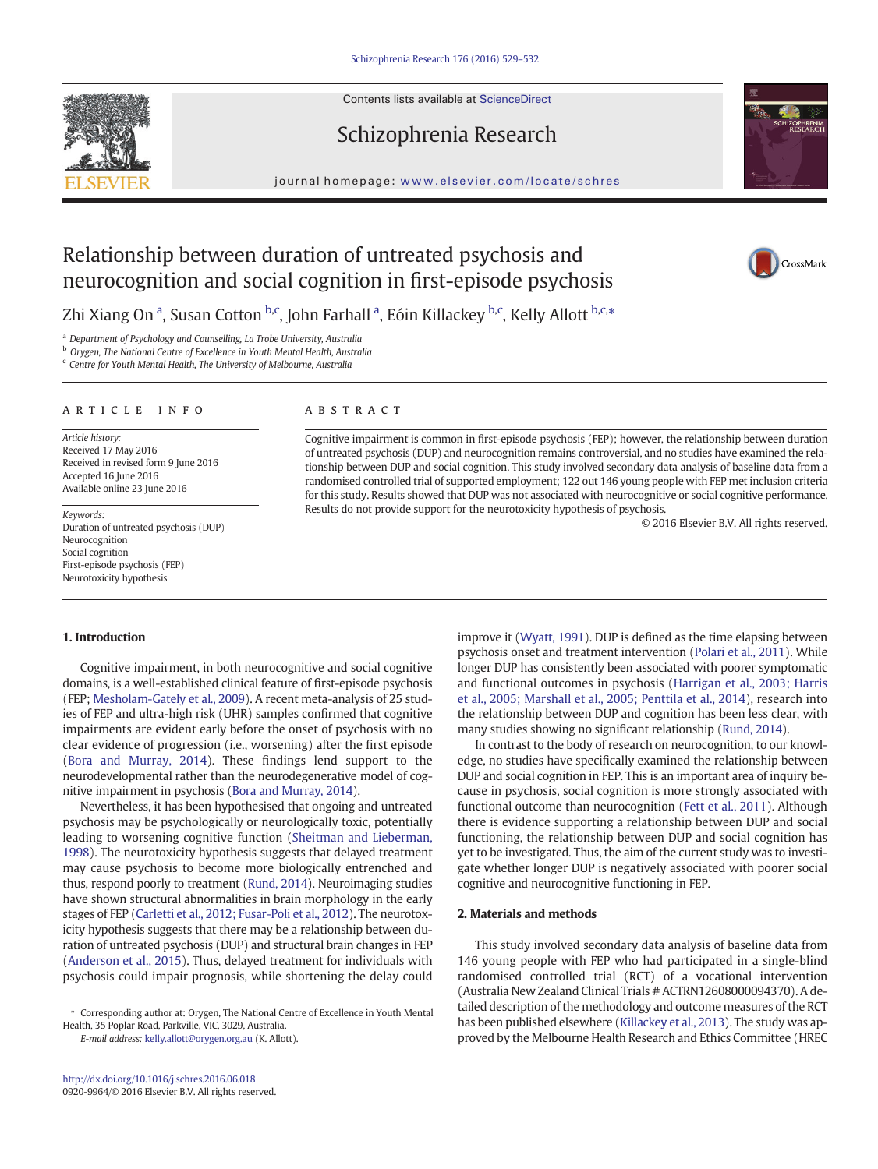Contents lists available at ScienceDirect



CrossMark

# journal homepage: <www.elsevier.com/locate/schres>

Schizophrenia Research

# Relationship between duration of untreated psychosis and neurocognition and social cognition in first-episode psychosis

Zhi Xiang On <sup>a</sup>, Susan Cotton <sup>b,c</sup>, John Farhall <sup>a</sup>, Eóin Killackey <sup>b,c</sup>, Kelly Allott <sup>b,c,</sup>\*

<sup>a</sup> Department of Psychology and Counselling, La Trobe University, Australia

<sup>b</sup> Orygen, The National Centre of Excellence in Youth Mental Health, Australia

<sup>c</sup> Centre for Youth Mental Health, The University of Melbourne, Australia

#### article info abstract

Article history: Received 17 May 2016 Received in revised form 9 June 2016 Accepted 16 June 2016 Available online 23 June 2016

© 2016 Elsevier B.V. All rights reserved. Keywords: Duration of untreated psychosis (DUP) Neurocognition Social cognition First-episode psychosis (FEP) Neurotoxicity hypothesis

Cognitive impairment is common in first-episode psychosis (FEP); however, the relationship between duration of untreated psychosis (DUP) and neurocognition remains controversial, and no studies have examined the relationship between DUP and social cognition. This study involved secondary data analysis of baseline data from a randomised controlled trial of supported employment; 122 out 146 young people with FEP met inclusion criteria for this study. Results showed that DUP was not associated with neurocognitive or social cognitive performance. Results do not provide support for the neurotoxicity hypothesis of psychosis.

### 1. Introduction

Cognitive impairment, in both neurocognitive and social cognitive domains, is a well-established clinical feature of first-episode psychosis (FEP; [Mesholam-Gately et al., 2009](#page-3-0)). A recent meta-analysis of 25 studies of FEP and ultra-high risk (UHR) samples confirmed that cognitive impairments are evident early before the onset of psychosis with no clear evidence of progression (i.e., worsening) after the first episode [\(Bora and Murray, 2014](#page-3-0)). These findings lend support to the neurodevelopmental rather than the neurodegenerative model of cognitive impairment in psychosis ([Bora and Murray, 2014](#page-3-0)).

Nevertheless, it has been hypothesised that ongoing and untreated psychosis may be psychologically or neurologically toxic, potentially leading to worsening cognitive function [\(Sheitman and Lieberman,](#page-3-0) [1998\)](#page-3-0). The neurotoxicity hypothesis suggests that delayed treatment may cause psychosis to become more biologically entrenched and thus, respond poorly to treatment [\(Rund, 2014\)](#page-3-0). Neuroimaging studies have shown structural abnormalities in brain morphology in the early stages of FEP [\(Carletti et al., 2012; Fusar-Poli et al., 2012](#page-3-0)). The neurotoxicity hypothesis suggests that there may be a relationship between duration of untreated psychosis (DUP) and structural brain changes in FEP [\(Anderson et al., 2015](#page-3-0)). Thus, delayed treatment for individuals with psychosis could impair prognosis, while shortening the delay could

E-mail address: [kelly.allott@orygen.org.au](mailto:kelly.allott@orygen.org.au) (K. Allott).

improve it [\(Wyatt, 1991\)](#page-3-0). DUP is defined as the time elapsing between psychosis onset and treatment intervention [\(Polari et al., 2011\)](#page-3-0). While longer DUP has consistently been associated with poorer symptomatic and functional outcomes in psychosis ([Harrigan et al., 2003; Harris](#page-3-0) [et al., 2005; Marshall et al., 2005; Penttila et al., 2014\)](#page-3-0), research into the relationship between DUP and cognition has been less clear, with many studies showing no significant relationship [\(Rund, 2014\)](#page-3-0).

In contrast to the body of research on neurocognition, to our knowledge, no studies have specifically examined the relationship between DUP and social cognition in FEP. This is an important area of inquiry because in psychosis, social cognition is more strongly associated with functional outcome than neurocognition [\(Fett et al., 2011](#page-3-0)). Although there is evidence supporting a relationship between DUP and social functioning, the relationship between DUP and social cognition has yet to be investigated. Thus, the aim of the current study was to investigate whether longer DUP is negatively associated with poorer social cognitive and neurocognitive functioning in FEP.

# 2. Materials and methods

This study involved secondary data analysis of baseline data from 146 young people with FEP who had participated in a single-blind randomised controlled trial (RCT) of a vocational intervention (Australia New Zealand Clinical Trials # ACTRN12608000094370). A detailed description of the methodology and outcome measures of the RCT has been published elsewhere ([Killackey et al., 2013\)](#page-3-0). The study was approved by the Melbourne Health Research and Ethics Committee (HREC

<sup>⁎</sup> Corresponding author at: Orygen, The National Centre of Excellence in Youth Mental Health, 35 Poplar Road, Parkville, VIC, 3029, Australia.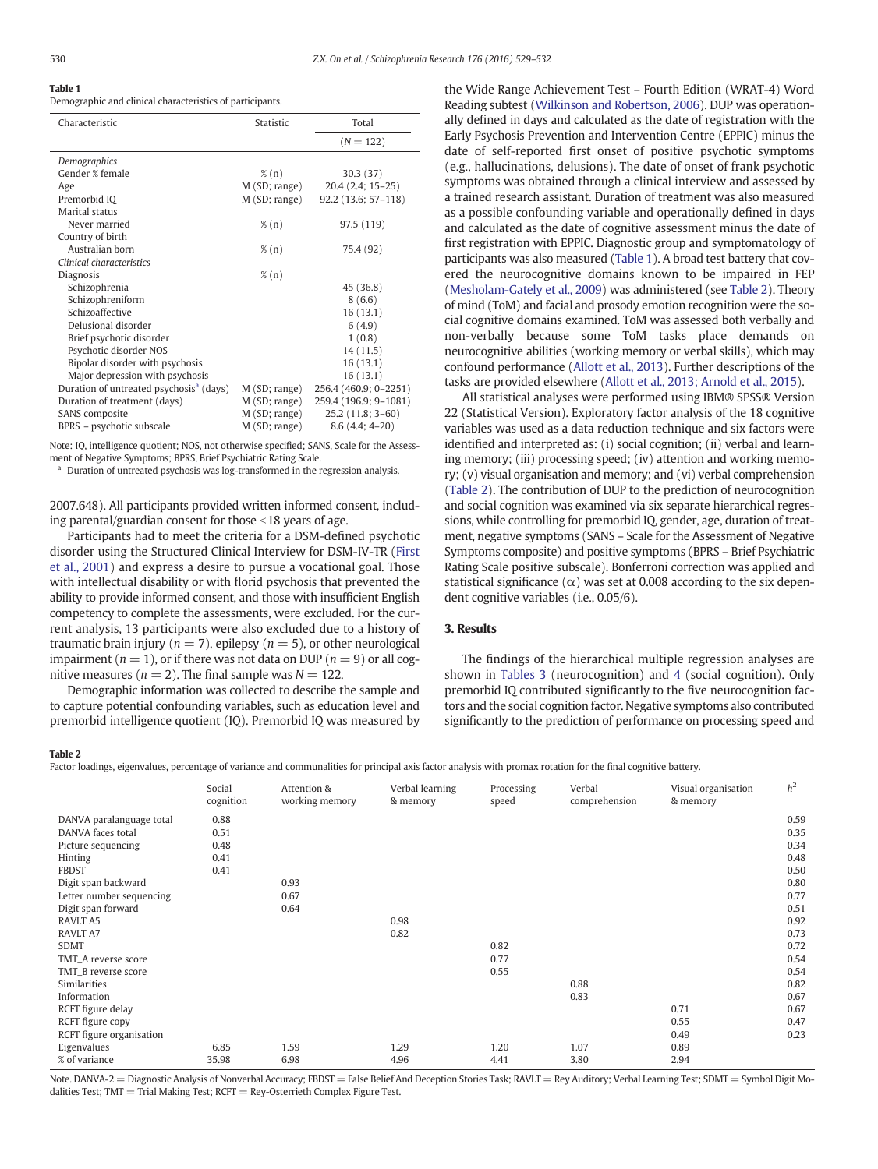# Table 1

Demographic and clinical characteristics of participants.

| Characteristic                                      | Statistic     | Total                 |  |
|-----------------------------------------------------|---------------|-----------------------|--|
|                                                     |               | $(N = 122)$           |  |
| Demographics                                        |               |                       |  |
| Gender % female                                     | $\%$ (n)      | 30.3(37)              |  |
| Age                                                 | M(SD; range)  | 20.4 (2.4; 15-25)     |  |
| Premorbid IQ                                        | M(SD; range)  | $92.2(13.6; 57-118)$  |  |
| Marital status                                      |               |                       |  |
| Never married                                       | $\%$ (n)      | 97.5 (119)            |  |
| Country of birth                                    |               |                       |  |
| Australian born                                     | $\%$ (n)      | 75.4 (92)             |  |
| Clinical characteristics                            |               |                       |  |
| Diagnosis                                           | $\%$ (n)      |                       |  |
| Schizophrenia                                       |               | 45 (36.8)             |  |
| Schizophreniform                                    |               | 8(6.6)                |  |
| Schizoaffective                                     |               | 16(13.1)              |  |
| Delusional disorder                                 |               | 6(4.9)                |  |
| Brief psychotic disorder                            |               | 1(0.8)                |  |
| Psychotic disorder NOS                              |               | 14 (11.5)             |  |
| Bipolar disorder with psychosis                     |               | 16(13.1)              |  |
| Major depression with psychosis                     |               | 16(13.1)              |  |
| Duration of untreated psychosis <sup>a</sup> (days) | M(SD; range)  | 256.4 (460.9; 0-2251) |  |
| Duration of treatment (days)                        | M(SD; range)  | 259.4 (196.9; 9-1081) |  |
| SANS composite                                      | M(SD; range)  | 25.2 (11.8; 3-60)     |  |
| BPRS – psychotic subscale                           | M (SD; range) | $8.6(4.4; 4-20)$      |  |

Note: IQ, intelligence quotient; NOS, not otherwise specified; SANS, Scale for the Assessment of Negative Symptoms; BPRS, Brief Psychiatric Rating Scale.

<sup>a</sup> Duration of untreated psychosis was log-transformed in the regression analysis.

2007.648). All participants provided written informed consent, including parental/guardian consent for those  $<$  18 years of age.

Participants had to meet the criteria for a DSM-defined psychotic disorder using the Structured Clinical Interview for DSM-IV-TR ([First](#page-3-0) [et al., 2001\)](#page-3-0) and express a desire to pursue a vocational goal. Those with intellectual disability or with florid psychosis that prevented the ability to provide informed consent, and those with insufficient English competency to complete the assessments, were excluded. For the current analysis, 13 participants were also excluded due to a history of traumatic brain injury ( $n = 7$ ), epilepsy ( $n = 5$ ), or other neurological impairment ( $n = 1$ ), or if there was not data on DUP ( $n = 9$ ) or all cognitive measures ( $n = 2$ ). The final sample was  $N = 122$ .

Demographic information was collected to describe the sample and to capture potential confounding variables, such as education level and premorbid intelligence quotient (IQ). Premorbid IQ was measured by the Wide Range Achievement Test – Fourth Edition (WRAT-4) Word Reading subtest [\(Wilkinson and Robertson, 2006\)](#page-3-0). DUP was operationally defined in days and calculated as the date of registration with the Early Psychosis Prevention and Intervention Centre (EPPIC) minus the date of self-reported first onset of positive psychotic symptoms (e.g., hallucinations, delusions). The date of onset of frank psychotic symptoms was obtained through a clinical interview and assessed by a trained research assistant. Duration of treatment was also measured as a possible confounding variable and operationally defined in days and calculated as the date of cognitive assessment minus the date of first registration with EPPIC. Diagnostic group and symptomatology of participants was also measured (Table 1). A broad test battery that covered the neurocognitive domains known to be impaired in FEP [\(Mesholam-Gately et al., 2009](#page-3-0)) was administered (see Table 2). Theory of mind (ToM) and facial and prosody emotion recognition were the social cognitive domains examined. ToM was assessed both verbally and non-verbally because some ToM tasks place demands on neurocognitive abilities (working memory or verbal skills), which may confound performance [\(Allott et al., 2013](#page-3-0)). Further descriptions of the tasks are provided elsewhere ([Allott et al., 2013; Arnold et al., 2015\)](#page-3-0).

All statistical analyses were performed using IBM® SPSS® Version 22 (Statistical Version). Exploratory factor analysis of the 18 cognitive variables was used as a data reduction technique and six factors were identified and interpreted as: (i) social cognition; (ii) verbal and learning memory; (iii) processing speed; (iv) attention and working memory; (v) visual organisation and memory; and (vi) verbal comprehension (Table 2). The contribution of DUP to the prediction of neurocognition and social cognition was examined via six separate hierarchical regressions, while controlling for premorbid IQ, gender, age, duration of treatment, negative symptoms (SANS – Scale for the Assessment of Negative Symptoms composite) and positive symptoms (BPRS – Brief Psychiatric Rating Scale positive subscale). Bonferroni correction was applied and statistical significance  $(\alpha)$  was set at 0.008 according to the six dependent cognitive variables (i.e., 0.05/6).

# 3. Results

The findings of the hierarchical multiple regression analyses are shown in [Tables 3](#page-2-0) (neurocognition) and [4](#page-2-0) (social cognition). Only premorbid IQ contributed significantly to the five neurocognition factors and the social cognition factor. Negative symptoms also contributed significantly to the prediction of performance on processing speed and

#### Table 2

Factor loadings, eigenvalues, percentage of variance and communalities for principal axis factor analysis with promax rotation for the final cognitive battery.

|                          | Social<br>cognition | Attention &<br>working memory | Verbal learning<br>& memory | Processing<br>speed | Verbal<br>comprehension | Visual organisation<br>& memory | h <sup>2</sup> |
|--------------------------|---------------------|-------------------------------|-----------------------------|---------------------|-------------------------|---------------------------------|----------------|
| DANVA paralanguage total | 0.88                |                               |                             |                     |                         |                                 | 0.59           |
| DANVA faces total        | 0.51                |                               |                             |                     |                         |                                 | 0.35           |
| Picture sequencing       | 0.48                |                               |                             |                     |                         |                                 | 0.34           |
| Hinting                  | 0.41                |                               |                             |                     |                         |                                 | 0.48           |
| <b>FBDST</b>             | 0.41                |                               |                             |                     |                         |                                 | 0.50           |
| Digit span backward      |                     | 0.93                          |                             |                     |                         |                                 | 0.80           |
| Letter number sequencing |                     | 0.67                          |                             |                     |                         |                                 | 0.77           |
| Digit span forward       |                     | 0.64                          |                             |                     |                         |                                 | 0.51           |
| RAVLT A5                 |                     |                               | 0.98                        |                     |                         |                                 | 0.92           |
| <b>RAVLT A7</b>          |                     |                               | 0.82                        |                     |                         |                                 | 0.73           |
| <b>SDMT</b>              |                     |                               |                             | 0.82                |                         |                                 | 0.72           |
| TMT_A reverse score      |                     |                               |                             | 0.77                |                         |                                 | 0.54           |
| TMT_B reverse score      |                     |                               |                             | 0.55                |                         |                                 | 0.54           |
| Similarities             |                     |                               |                             |                     | 0.88                    |                                 | 0.82           |
| Information              |                     |                               |                             |                     | 0.83                    |                                 | 0.67           |
| RCFT figure delay        |                     |                               |                             |                     |                         | 0.71                            | 0.67           |
| RCFT figure copy         |                     |                               |                             |                     |                         | 0.55                            | 0.47           |
| RCFT figure organisation |                     |                               |                             |                     |                         | 0.49                            | 0.23           |
| Eigenvalues              | 6.85                | 1.59                          | 1.29                        | 1.20                | 1.07                    | 0.89                            |                |
| % of variance            | 35.98               | 6.98                          | 4.96                        | 4.41                | 3.80                    | 2.94                            |                |

Note. DANVA-2 = Diagnostic Analysis of Nonverbal Accuracy; FBDST = False Belief And Deception Stories Task; RAVLT = Rey Auditory; Verbal Learning Test; SDMT = Symbol Digit Modalities Test: TMT = Trial Making Test;  $RCFT = Rev-Osterrieth$  Complex Figure Test.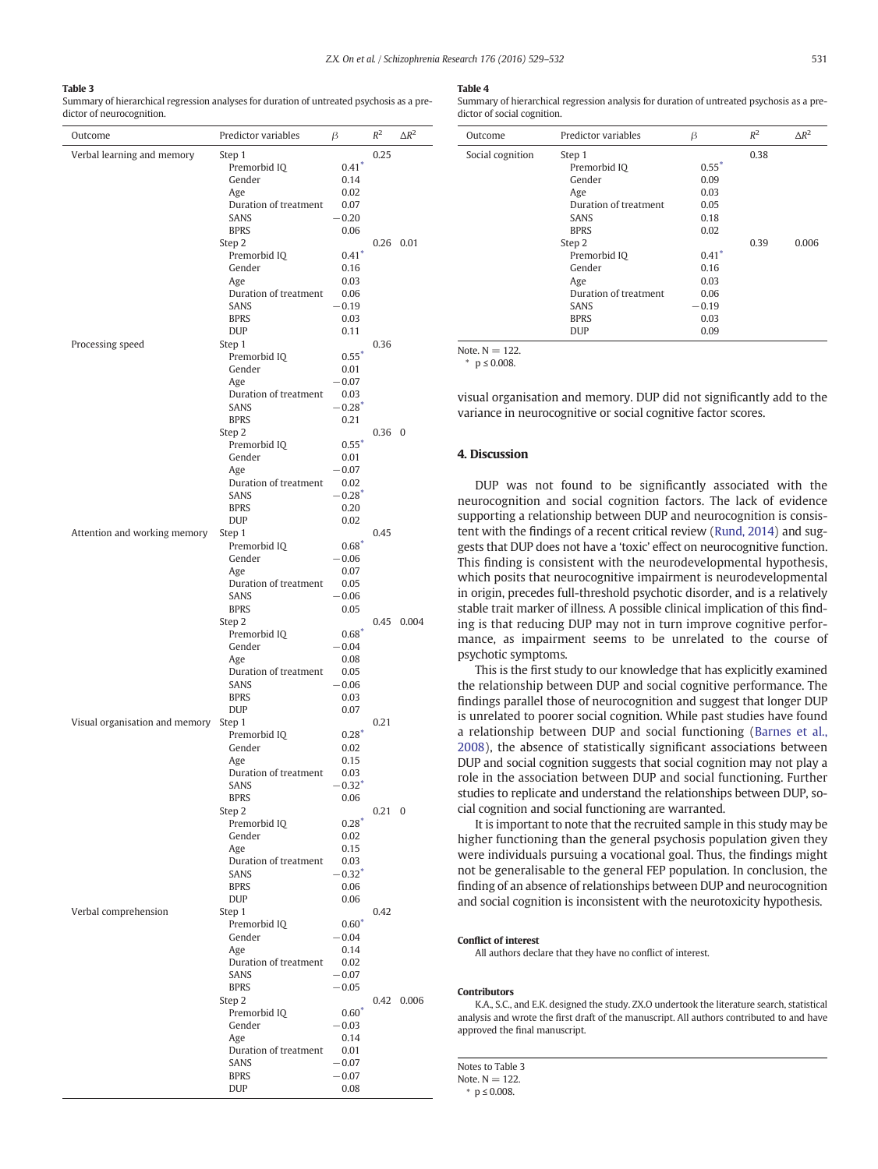## <span id="page-2-0"></span>Table 3

Summary of hierarchical regression analyses for duration of untreated psychosis as a predictor of neurocognition.

| Outcome                        | Predictor variables                  | β                    | $R^2$          | $\Delta R^2$ |
|--------------------------------|--------------------------------------|----------------------|----------------|--------------|
| Verbal learning and memory     | Step 1                               |                      | 0.25           |              |
|                                | Premorbid IQ                         | $0.41*$              |                |              |
|                                | Gender                               | 0.14                 |                |              |
|                                | Age                                  | 0.02                 |                |              |
|                                | Duration of treatment<br><b>SANS</b> | 0.07<br>$-0.20$      |                |              |
|                                | <b>BPRS</b>                          | 0.06                 |                |              |
|                                | Step 2                               |                      |                | 0.26 0.01    |
|                                | Premorbid IQ                         | $0.41^*$             |                |              |
|                                | Gender                               | 0.16                 |                |              |
|                                | Age                                  | 0.03                 |                |              |
|                                | Duration of treatment                | 0.06                 |                |              |
|                                | <b>SANS</b>                          | $-0.19$              |                |              |
|                                | <b>BPRS</b><br><b>DUP</b>            | 0.03<br>0.11         |                |              |
| Processing speed               | Step 1                               |                      | 0.36           |              |
|                                | Premorbid IQ                         | $0.55*$              |                |              |
|                                | Gender                               | 0.01                 |                |              |
|                                | Age                                  | $-0.07$              |                |              |
|                                | Duration of treatment                | 0.03                 |                |              |
|                                | SANS<br><b>BPRS</b>                  | $-0.28*$<br>0.21     |                |              |
|                                | Step <sub>2</sub>                    |                      | $0.36 \quad 0$ |              |
|                                | Premorbid IQ                         | $0.55*$              |                |              |
|                                | Gender                               | 0.01                 |                |              |
|                                | Age                                  | $-0.07$              |                |              |
|                                | Duration of treatment                | 0.02                 |                |              |
|                                | <b>SANS</b>                          | $-0.28*$             |                |              |
|                                | <b>BPRS</b><br><b>DUP</b>            | 0.20<br>0.02         |                |              |
| Attention and working memory   | Step 1                               |                      | 0.45           |              |
|                                | Premorbid IQ                         | $0.68^*$             |                |              |
|                                | Gender                               | $-0.06$              |                |              |
|                                | Age                                  | 0.07                 |                |              |
|                                | Duration of treatment                | 0.05                 |                |              |
|                                | <b>SANS</b><br><b>BPRS</b>           | $-0.06$              |                |              |
|                                | Step 2                               | 0.05                 | 0.45           | 0.004        |
|                                | Premorbid IQ                         | $0.68^*$             |                |              |
|                                | Gender                               | $-0.04$              |                |              |
|                                | Age                                  | 0.08                 |                |              |
|                                | Duration of treatment                | 0.05                 |                |              |
|                                | SANS                                 | $-0.06$              |                |              |
|                                | <b>BPRS</b><br><b>DUP</b>            | 0.03<br>0.07         |                |              |
| Visual organisation and memory | Step 1                               |                      | 0.21           |              |
|                                | Premorbid IQ                         | $0.28*$              |                |              |
|                                | Gender                               | 0.02                 |                |              |
|                                | Age                                  | 0.15                 |                |              |
|                                | Duration of treatment                | 0.03                 |                |              |
|                                | SANS                                 | $-0.32$ <sup>*</sup> |                |              |
|                                | <b>BPRS</b><br>Step 2                | 0.06                 | $0.21 \quad 0$ |              |
|                                | Premorbid IQ                         | $0.28*$              |                |              |
|                                | Gender                               | 0.02                 |                |              |
|                                | Age                                  | 0.15                 |                |              |
|                                | Duration of treatment                | 0.03                 |                |              |
|                                | SANS                                 | $-0.32*$             |                |              |
|                                | <b>BPRS</b><br><b>DUP</b>            | 0.06<br>0.06         |                |              |
| Verbal comprehension           | Step 1                               |                      | 0.42           |              |
|                                | Premorbid IQ                         | $0.60*$              |                |              |
|                                | Gender                               | $-0.04$              |                |              |
|                                | Age                                  | 0.14                 |                |              |
|                                | Duration of treatment                | 0.02                 |                |              |
|                                | SANS                                 | $-0.07$              |                |              |
|                                | <b>BPRS</b><br>Step 2                | $-0.05$              | 0.42           | 0.006        |
|                                | Premorbid IQ                         | $0.60*$              |                |              |
|                                | Gender                               | $-0.03$              |                |              |
|                                | Age                                  | 0.14                 |                |              |
|                                | Duration of treatment                | 0.01                 |                |              |
|                                | SANS                                 | $-0.07$              |                |              |
|                                | <b>BPRS</b><br><b>DUP</b>            | $-0.07$<br>0.08      |                |              |
|                                |                                      |                      |                |              |

### Table 4

Summary of hierarchical regression analysis for duration of untreated psychosis as a predictor of social cognition.

| Outcome          | Predictor variables   | β       | $R^2$ | $\Delta R^2$ |
|------------------|-----------------------|---------|-------|--------------|
| Social cognition | Step 1                |         | 0.38  |              |
|                  | Premorbid IQ          | $0.55*$ |       |              |
|                  | Gender                | 0.09    |       |              |
|                  | Age                   | 0.03    |       |              |
|                  | Duration of treatment | 0.05    |       |              |
|                  | <b>SANS</b>           | 0.18    |       |              |
|                  | <b>BPRS</b>           | 0.02    |       |              |
|                  | Step 2                |         | 0.39  | 0.006        |
|                  | Premorbid IQ          | $0.41*$ |       |              |
|                  | Gender                | 0.16    |       |              |
|                  | Age                   | 0.03    |       |              |
|                  | Duration of treatment | 0.06    |       |              |
|                  | <b>SANS</b>           | $-0.19$ |       |              |
|                  | <b>BPRS</b>           | 0.03    |       |              |
|                  | <b>DUP</b>            | 0.09    |       |              |

Note.  $N = 122$  $p \leq 0.008$ .

visual organisation and memory. DUP did not significantly add to the variance in neurocognitive or social cognitive factor scores.

## 4. Discussion

DUP was not found to be significantly associated with the neurocognition and social cognition factors. The lack of evidence supporting a relationship between DUP and neurocognition is consistent with the findings of a recent critical review ([Rund, 2014](#page-3-0)) and suggests that DUP does not have a 'toxic' effect on neurocognitive function. This finding is consistent with the neurodevelopmental hypothesis, which posits that neurocognitive impairment is neurodevelopmental in origin, precedes full-threshold psychotic disorder, and is a relatively stable trait marker of illness. A possible clinical implication of this finding is that reducing DUP may not in turn improve cognitive performance, as impairment seems to be unrelated to the course of psychotic symptoms.

This is the first study to our knowledge that has explicitly examined the relationship between DUP and social cognitive performance. The findings parallel those of neurocognition and suggest that longer DUP is unrelated to poorer social cognition. While past studies have found a relationship between DUP and social functioning [\(Barnes et al.,](#page-3-0) [2008\)](#page-3-0), the absence of statistically significant associations between DUP and social cognition suggests that social cognition may not play a role in the association between DUP and social functioning. Further studies to replicate and understand the relationships between DUP, social cognition and social functioning are warranted.

It is important to note that the recruited sample in this study may be higher functioning than the general psychosis population given they were individuals pursuing a vocational goal. Thus, the findings might not be generalisable to the general FEP population. In conclusion, the finding of an absence of relationships between DUP and neurocognition and social cognition is inconsistent with the neurotoxicity hypothesis.

#### Conflict of interest

All authors declare that they have no conflict of interest.

#### Contributors

K.A., S.C., and E.K. designed the study. ZX.O undertook the literature search, statistical analysis and wrote the first draft of the manuscript. All authors contributed to and have approved the final manuscript.

Notes to Table 3

Note.  $N = 122$ .

⁎ p ≤ 0.008.